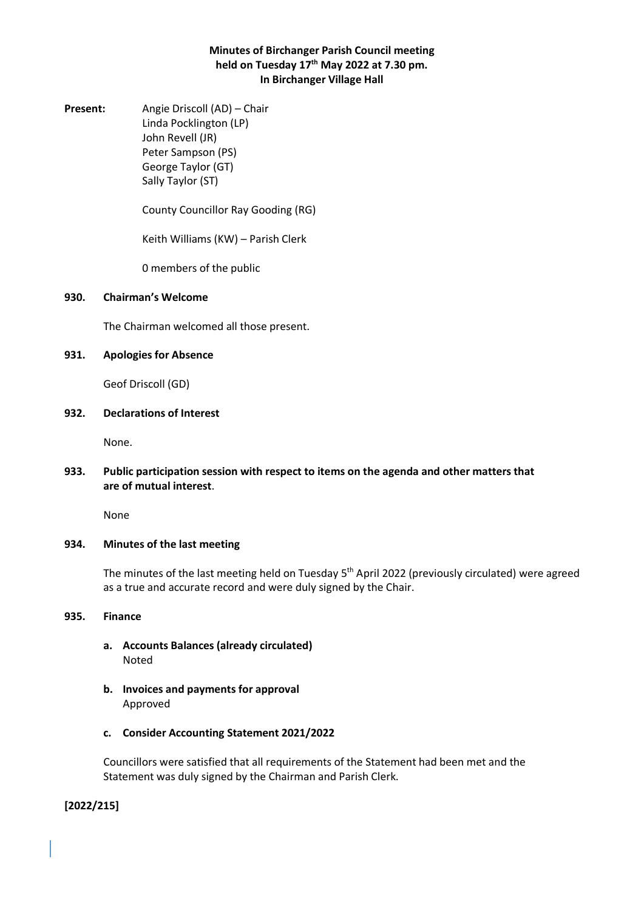# **Minutes of Birchanger Parish Council meeting held on Tuesday 17th May 2022 at 7.30 pm. In Birchanger Village Hall**

**Present:** Angie Driscoll (AD) – Chair Linda Pocklington (LP) John Revell (JR) Peter Sampson (PS) George Taylor (GT) Sally Taylor (ST)

County Councillor Ray Gooding (RG)

Keith Williams (KW) – Parish Clerk

0 members of the public

#### **930. Chairman's Welcome**

The Chairman welcomed all those present.

### **931. Apologies for Absence**

Geof Driscoll (GD)

# **932. Declarations of Interest**

None.

# **933. Public participation session with respect to items on the agenda and other matters that are of mutual interest**.

None

#### **934. Minutes of the last meeting**

The minutes of the last meeting held on Tuesday 5<sup>th</sup> April 2022 (previously circulated) were agreed as a true and accurate record and were duly signed by the Chair.

#### **935. Finance**

- **a. Accounts Balances (already circulated)** Noted
- **b. Invoices and payments for approval** Approved
- **c. Consider Accounting Statement 2021/2022**

Councillors were satisfied that all requirements of the Statement had been met and the Statement was duly signed by the Chairman and Parish Clerk.

**[2022/215]**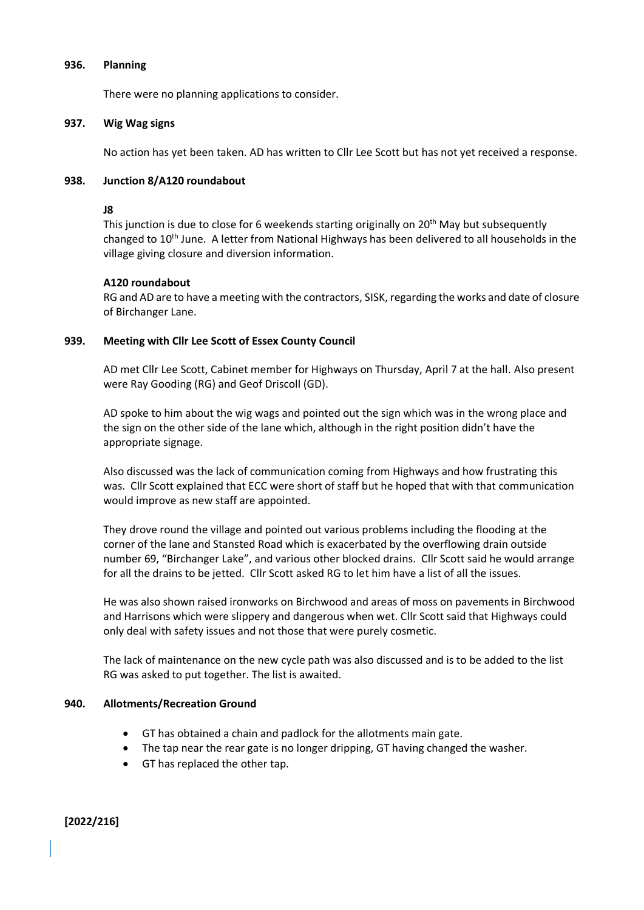#### **936. Planning**

There were no planning applications to consider.

## **937. Wig Wag signs**

No action has yet been taken. AD has written to Cllr Lee Scott but has not yet received a response.

# **938. Junction 8/A120 roundabout**

## **J8**

This junction is due to close for 6 weekends starting originally on 20<sup>th</sup> May but subsequently changed to 10<sup>th</sup> June. A letter from National Highways has been delivered to all households in the village giving closure and diversion information.

# **A120 roundabout**

RG and AD are to have a meeting with the contractors, SISK, regarding the works and date of closure of Birchanger Lane.

# **939. Meeting with Cllr Lee Scott of Essex County Council**

AD met Cllr Lee Scott, Cabinet member for Highways on Thursday, April 7 at the hall. Also present were Ray Gooding (RG) and Geof Driscoll (GD).

AD spoke to him about the wig wags and pointed out the sign which was in the wrong place and the sign on the other side of the lane which, although in the right position didn't have the appropriate signage.

Also discussed was the lack of communication coming from Highways and how frustrating this was. Cllr Scott explained that ECC were short of staff but he hoped that with that communication would improve as new staff are appointed.

They drove round the village and pointed out various problems including the flooding at the corner of the lane and Stansted Road which is exacerbated by the overflowing drain outside number 69, "Birchanger Lake", and various other blocked drains. Cllr Scott said he would arrange for all the drains to be jetted. Cllr Scott asked RG to let him have a list of all the issues.

He was also shown raised ironworks on Birchwood and areas of moss on pavements in Birchwood and Harrisons which were slippery and dangerous when wet. Cllr Scott said that Highways could only deal with safety issues and not those that were purely cosmetic.

The lack of maintenance on the new cycle path was also discussed and is to be added to the list RG was asked to put together. The list is awaited.

# **940. Allotments/Recreation Ground**

- GT has obtained a chain and padlock for the allotments main gate.
- The tap near the rear gate is no longer dripping, GT having changed the washer.
- GT has replaced the other tap.

**[2022/216]**